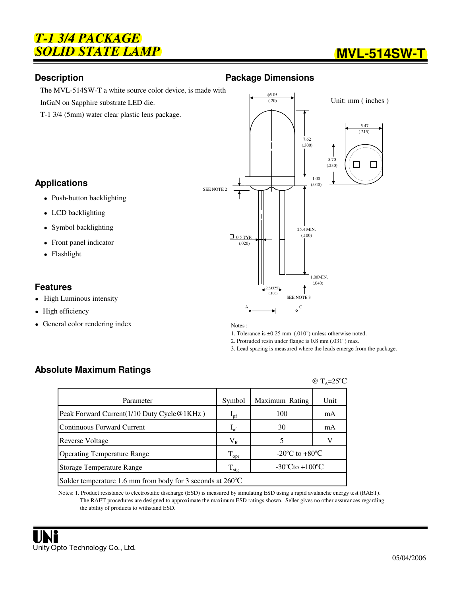## *T-1 3/4 PACKAGE* **SOLID STATE LAMP** *MVL-514SW-T*

### **Description Contract Contract Contract Package Dimensions**



T-1 3/4 (5mm) water clear plastic lens package.

### **Applications**

- Push-button backlighting
- LCD backlighting
- Symbol backlighting
- Front panel indicator
- Flashlight

### **Features**

- High Luminous intensity
- $\bullet$ High efficiency
- General color rendering index

φ5.05 Unit: mm ( inches )  $(.20)$  5.47  $(.215)$ 7.62 (.300) 5.70  $\Box$  $\Box$  $(.230)$ 1.00 (.040) SEE NOTE 2 25.4 MIN.  $0.5$  TYP. (.100) (.020) 1.00MIN. (.040) 2.54TYP. (.100) SEE NOTE 3 A C

Notes :

1. Tolerance is ±0.25 mm (.010") unless otherwise noted. 2. Protruded resin under flange is 0.8 mm (.031") max.

3. Lead spacing is measured where the leads emerge from the package.

## **Absolute Maximum Ratings**

|                                                                      |                  |                                      | @ $T_{A} = 25^{\circ}C$ |  |
|----------------------------------------------------------------------|------------------|--------------------------------------|-------------------------|--|
| Parameter                                                            | Symbol           | Maximum Rating                       | Unit                    |  |
| Peak Forward Current (1/10 Duty Cycle @ 1KHz)                        | $I_{\rm pf}$     | 100                                  | mA                      |  |
| Continuous Forward Current                                           | $I_{\text{af}}$  | 30                                   | mA                      |  |
| Reverse Voltage                                                      | $\rm V_R$        |                                      |                         |  |
| <b>Operating Temperature Range</b>                                   | $T_{\rm opr}$    | -20 $^{\circ}$ C to +80 $^{\circ}$ C |                         |  |
| Storage Temperature Range                                            | $T_{\text{stg}}$ | $-30^{\circ}$ Cto $+100^{\circ}$ C   |                         |  |
| Solder temperature 1.6 mm from body for 3 seconds at $260^{\circ}$ C |                  |                                      |                         |  |

Notes: 1. Product resistance to electrostatic discharge (ESD) is measured by simulating ESD using a rapid avalanche energy test (RAET). The RAET procedures are designed to approximate the maximum ESD ratings shown. Seller gives no other assurances regarding the ability of products to withstand ESD.